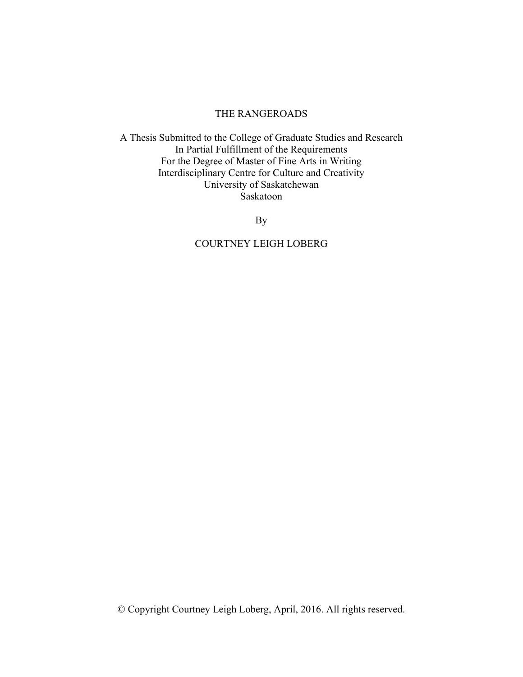### THE RANGEROADS

A Thesis Submitted to the College of Graduate Studies and Research In Partial Fulfillment of the Requirements For the Degree of Master of Fine Arts in Writing Interdisciplinary Centre for Culture and Creativity University of Saskatchewan Saskatoon

By

# COURTNEY LEIGH LOBERG

© Copyright Courtney Leigh Loberg, April, 2016. All rights reserved.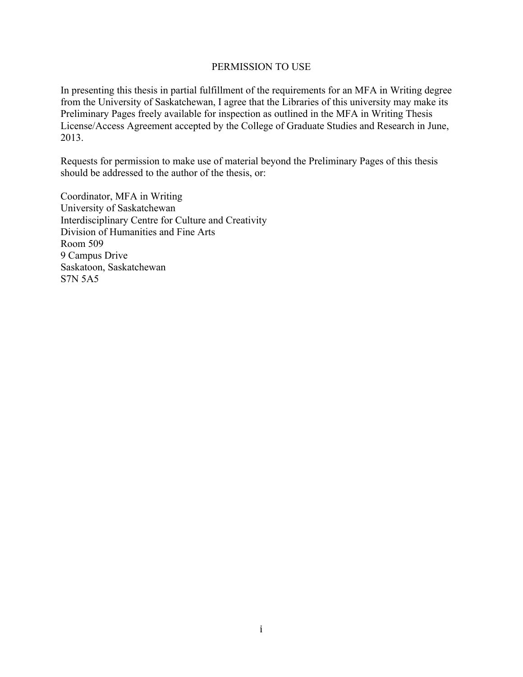# PERMISSION TO USE

In presenting this thesis in partial fulfillment of the requirements for an MFA in Writing degree from the University of Saskatchewan, I agree that the Libraries of this university may make its Preliminary Pages freely available for inspection as outlined in the MFA in Writing Thesis License/Access Agreement accepted by the College of Graduate Studies and Research in June, 2013.

Requests for permission to make use of material beyond the Preliminary Pages of this thesis should be addressed to the author of the thesis, or:

Coordinator, MFA in Writing University of Saskatchewan Interdisciplinary Centre for Culture and Creativity Division of Humanities and Fine Arts Room 509 9 Campus Drive Saskatoon, Saskatchewan S7N 5A5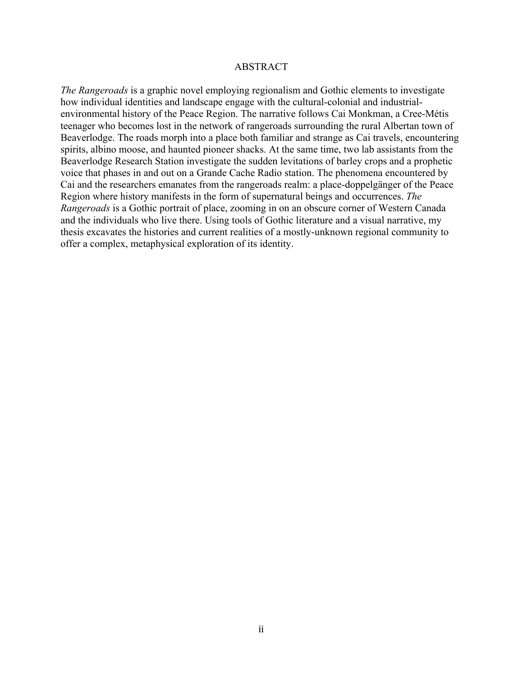#### ABSTRACT

*The Rangeroads* is a graphic novel employing regionalism and Gothic elements to investigate how individual identities and landscape engage with the cultural-colonial and industrialenvironmental history of the Peace Region. The narrative follows Cai Monkman, a Cree-Métis teenager who becomes lost in the network of rangeroads surrounding the rural Albertan town of Beaverlodge. The roads morph into a place both familiar and strange as Cai travels, encountering spirits, albino moose, and haunted pioneer shacks. At the same time, two lab assistants from the Beaverlodge Research Station investigate the sudden levitations of barley crops and a prophetic voice that phases in and out on a Grande Cache Radio station. The phenomena encountered by Cai and the researchers emanates from the rangeroads realm: a place-doppelgänger of the Peace Region where history manifests in the form of supernatural beings and occurrences. *The Rangeroads* is a Gothic portrait of place, zooming in on an obscure corner of Western Canada and the individuals who live there. Using tools of Gothic literature and a visual narrative, my thesis excavates the histories and current realities of a mostly-unknown regional community to offer a complex, metaphysical exploration of its identity.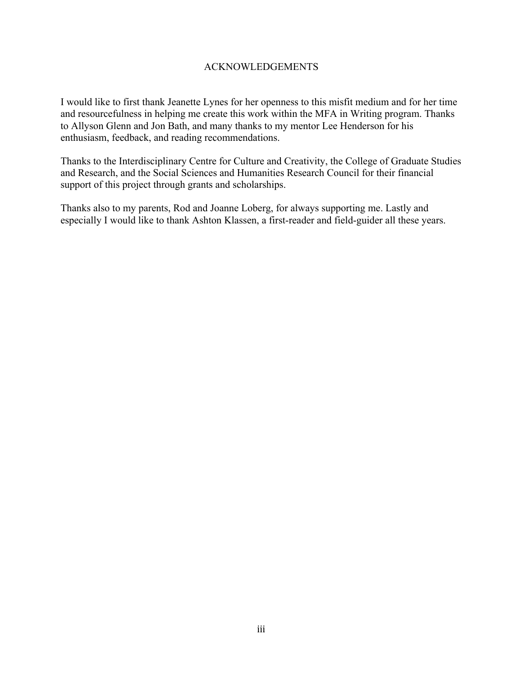# ACKNOWLEDGEMENTS

I would like to first thank Jeanette Lynes for her openness to this misfit medium and for her time and resourcefulness in helping me create this work within the MFA in Writing program. Thanks to Allyson Glenn and Jon Bath, and many thanks to my mentor Lee Henderson for his enthusiasm, feedback, and reading recommendations.

Thanks to the Interdisciplinary Centre for Culture and Creativity, the College of Graduate Studies and Research, and the Social Sciences and Humanities Research Council for their financial support of this project through grants and scholarships.

Thanks also to my parents, Rod and Joanne Loberg, for always supporting me. Lastly and especially I would like to thank Ashton Klassen, a first-reader and field-guider all these years.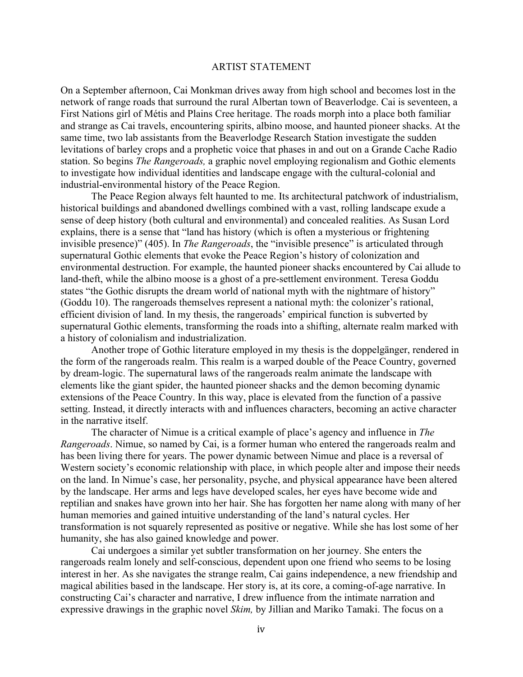# ARTIST STATEMENT

On a September afternoon, Cai Monkman drives away from high school and becomes lost in the network of range roads that surround the rural Albertan town of Beaverlodge. Cai is seventeen, a First Nations girl of Métis and Plains Cree heritage. The roads morph into a place both familiar and strange as Cai travels, encountering spirits, albino moose, and haunted pioneer shacks. At the same time, two lab assistants from the Beaverlodge Research Station investigate the sudden levitations of barley crops and a prophetic voice that phases in and out on a Grande Cache Radio station. So begins *The Rangeroads,* a graphic novel employing regionalism and Gothic elements to investigate how individual identities and landscape engage with the cultural-colonial and industrial-environmental history of the Peace Region.

The Peace Region always felt haunted to me. Its architectural patchwork of industrialism, historical buildings and abandoned dwellings combined with a vast, rolling landscape exude a sense of deep history (both cultural and environmental) and concealed realities. As Susan Lord explains, there is a sense that "land has history (which is often a mysterious or frightening invisible presence)" (405). In *The Rangeroads*, the "invisible presence" is articulated through supernatural Gothic elements that evoke the Peace Region's history of colonization and environmental destruction. For example, the haunted pioneer shacks encountered by Cai allude to land-theft, while the albino moose is a ghost of a pre-settlement environment. Teresa Goddu states "the Gothic disrupts the dream world of national myth with the nightmare of history" (Goddu 10). The rangeroads themselves represent a national myth: the colonizer's rational, efficient division of land. In my thesis, the rangeroads' empirical function is subverted by supernatural Gothic elements, transforming the roads into a shifting, alternate realm marked with a history of colonialism and industrialization.

Another trope of Gothic literature employed in my thesis is the doppelgänger, rendered in the form of the rangeroads realm. This realm is a warped double of the Peace Country, governed by dream-logic. The supernatural laws of the rangeroads realm animate the landscape with elements like the giant spider, the haunted pioneer shacks and the demon becoming dynamic extensions of the Peace Country. In this way, place is elevated from the function of a passive setting. Instead, it directly interacts with and influences characters, becoming an active character in the narrative itself.

The character of Nimue is a critical example of place's agency and influence in *The Rangeroads*. Nimue, so named by Cai, is a former human who entered the rangeroads realm and has been living there for years. The power dynamic between Nimue and place is a reversal of Western society's economic relationship with place, in which people alter and impose their needs on the land. In Nimue's case, her personality, psyche, and physical appearance have been altered by the landscape. Her arms and legs have developed scales, her eyes have become wide and reptilian and snakes have grown into her hair. She has forgotten her name along with many of her human memories and gained intuitive understanding of the land's natural cycles. Her transformation is not squarely represented as positive or negative. While she has lost some of her humanity, she has also gained knowledge and power.

Cai undergoes a similar yet subtler transformation on her journey. She enters the rangeroads realm lonely and self-conscious, dependent upon one friend who seems to be losing interest in her. As she navigates the strange realm, Cai gains independence, a new friendship and magical abilities based in the landscape. Her story is, at its core, a coming-of-age narrative. In constructing Cai's character and narrative, I drew influence from the intimate narration and expressive drawings in the graphic novel *Skim,* by Jillian and Mariko Tamaki. The focus on a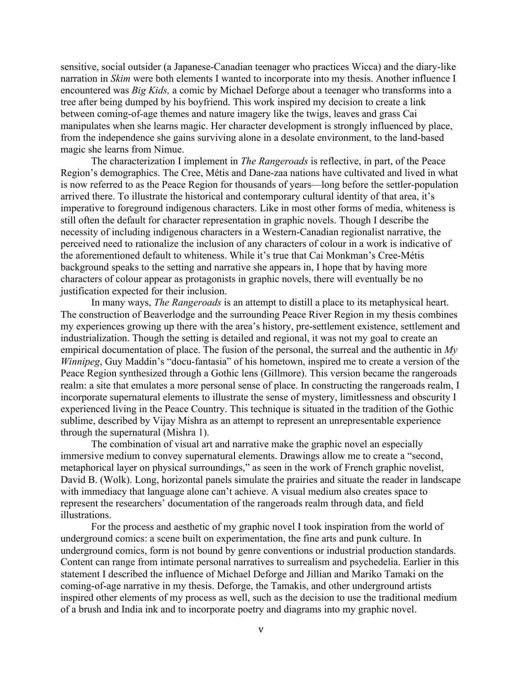sensitive, social outsider (a Japanese-Canadian teenager who practices Wicca) and the diary-like narration in *Skim* were both elements I wanted to incorporate into my thesis. Another influence I encountered was *Big Kids,* a comic by Michael Deforge about a teenager who transforms into a tree after being dumped by his boyfriend. This work inspired my decision to create a link between coming-of-age themes and nature imagery like the twigs, leaves and grass Cai manipulates when she learns magic. Her character development is strongly influenced by place, from the independence she gains surviving alone in a desolate environment, to the land-based magic she learns from Nimue.

The characterization I implement in *The Rangeroads* is reflective, in part, of the Peace Region's demographics. The Cree, Métis and Dane-zaa nations have cultivated and lived in what is now referred to as the Peace Region for thousands of years—long before the settler-population arrived there. To illustrate the historical and contemporary cultural identity of that area, it's imperative to foreground indigenous characters. Like in most other forms of media, whiteness is still often the default for character representation in graphic novels. Though I describe the necessity of including indigenous characters in a Western-Canadian regionalist narrative, the perceived need to rationalize the inclusion of any characters of colour in a work is indicative of the aforementioned default to whiteness. While it's true that Cai Monkman's Cree-Métis background speaks to the setting and narrative she appears in, I hope that by having more characters of colour appear as protagonists in graphic novels, there will eventually be no justification expected for their inclusion.

In many ways, *The Rangeroads* is an attempt to distill a place to its metaphysical heart. The construction of Beaverlodge and the surrounding Peace River Region in my thesis combines my experiences growing up there with the area's history, pre-settlement existence, settlement and industrialization. Though the setting is detailed and regional, it was not my goal to create an empirical documentation of place. The fusion of the personal, the surreal and the authentic in *My Winnipeg*, Guy Maddin's "docu-fantasia" of his hometown, inspired me to create a version of the Peace Region synthesized through a Gothic lens (Gillmore). This version became the rangeroads realm: a site that emulates a more personal sense of place. In constructing the rangeroads realm, I incorporate supernatural elements to illustrate the sense of mystery, limitlessness and obscurity I experienced living in the Peace Country. This technique is situated in the tradition of the Gothic sublime, described by Vijay Mishra as an attempt to represent an unrepresentable experience through the supernatural (Mishra 1).

The combination of visual art and narrative make the graphic novel an especially immersive medium to convey supernatural elements. Drawings allow me to create a "second, metaphorical layer on physical surroundings," as seen in the work of French graphic novelist, David B. (Wolk). Long, horizontal panels simulate the prairies and situate the reader in landscape with immediacy that language alone can't achieve. A visual medium also creates space to represent the researchers' documentation of the rangeroads realm through data, and field illustrations.

For the process and aesthetic of my graphic novel I took inspiration from the world of underground comics: a scene built on experimentation, the fine arts and punk culture. In underground comics, form is not bound by genre conventions or industrial production standards. Content can range from intimate personal narratives to surrealism and psychedelia. Earlier in this statement I described the influence of Michael Deforge and Jillian and Mariko Tamaki on the coming-of-age narrative in my thesis. Deforge, the Tamakis, and other underground artists inspired other elements of my process as well, such as the decision to use the traditional medium of a brush and India ink and to incorporate poetry and diagrams into my graphic novel.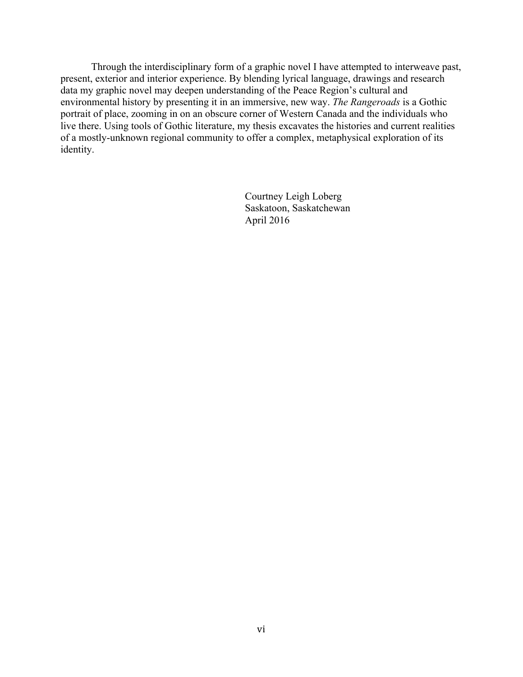Through the interdisciplinary form of a graphic novel I have attempted to interweave past, present, exterior and interior experience. By blending lyrical language, drawings and research data my graphic novel may deepen understanding of the Peace Region's cultural and environmental history by presenting it in an immersive, new way. *The Rangeroads* is a Gothic portrait of place, zooming in on an obscure corner of Western Canada and the individuals who live there. Using tools of Gothic literature, my thesis excavates the histories and current realities of a mostly-unknown regional community to offer a complex, metaphysical exploration of its identity.

> Courtney Leigh Loberg Saskatoon, Saskatchewan April 2016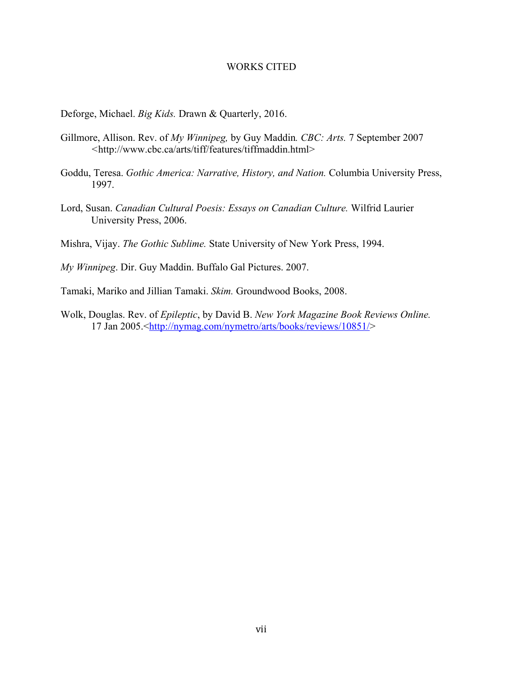#### WORKS CITED

Deforge, Michael. *Big Kids.* Drawn & Quarterly, 2016.

- Gillmore, Allison. Rev. of *My Winnipeg,* by Guy Maddin*. CBC: Arts.* 7 September 2007 *<*http://www.cbc.ca/arts/tiff/features/tiffmaddin.html>
- Goddu, Teresa. *Gothic America: Narrative, History, and Nation.* Columbia University Press, 1997.
- Lord, Susan. *Canadian Cultural Poesis: Essays on Canadian Culture.* Wilfrid Laurier University Press, 2006.

Mishra, Vijay. *The Gothic Sublime.* State University of New York Press, 1994.

*My Winnipeg*. Dir. Guy Maddin. Buffalo Gal Pictures. 2007.

- Tamaki, Mariko and Jillian Tamaki. *Skim.* Groundwood Books, 2008.
- Wolk, Douglas. Rev. of *Epileptic*, by David B. *New York Magazine Book Reviews Online.* 17 Jan 2005.<http://nymag.com/nymetro/arts/books/reviews/10851/>